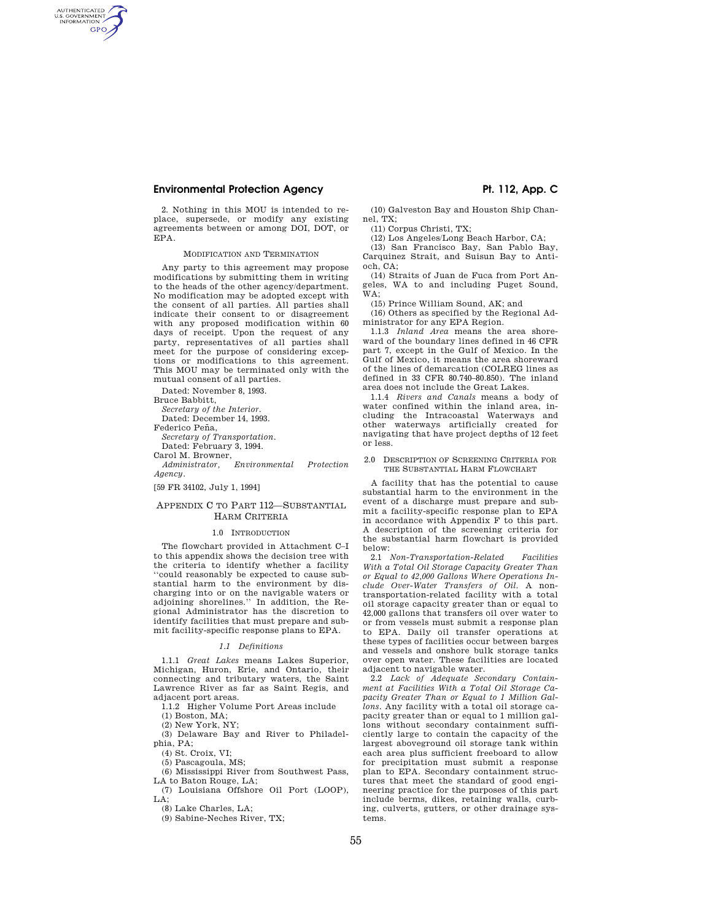# **Environmental Protection Agency Pt. 112, App. C**

2. Nothing in this MOU is intended to replace, supersede, or modify any existing agreements between or among DOI, DOT, or EPA.

### MODIFICATION AND TERMINATION

Any party to this agreement may propose modifications by submitting them in writing to the heads of the other agency/department. No modification may be adopted except with the consent of all parties. All parties shall indicate their consent to or disagreement with any proposed modification within 60 days of receipt. Upon the request of any party, representatives of all parties shall meet for the purpose of considering exceptions or modifications to this agreement. This MOU may be terminated only with the mutual consent of all parties.

Dated: November 8, 1993.

Bruce Babbitt,

AUTHENTICATED<br>U.S. GOVERNMENT<br>INFORMATION **GPO** 

*Secretary of the Interior.* 

Dated: December 14, 1993.

Federico Peña.

*Secretary of Transportation.* 

Dated: February 3, 1994. Carol M. Browner,

*Administrator, Environmental Protection Agency.* 

[59 FR 34102, July 1, 1994]

### APPENDIX C TO PART 112—SUBSTANTIAL HARM CRITERIA

#### 1.0 INTRODUCTION

The flowchart provided in Attachment C–I to this appendix shows the decision tree with the criteria to identify whether a facility ''could reasonably be expected to cause substantial harm to the environment by discharging into or on the navigable waters or adjoining shorelines.'' In addition, the Regional Administrator has the discretion to identify facilities that must prepare and submit facility-specific response plans to EPA.

### *1.1 Definitions*

1.1.1 *Great Lakes* means Lakes Superior, Michigan, Huron, Erie, and Ontario, their connecting and tributary waters, the Saint Lawrence River as far as Saint Regis, and adjacent port areas.

1.1.2 Higher Volume Port Areas include

(1) Boston, MA;

(2) New York, NY;

(3) Delaware Bay and River to Philadelphia, PA;

(4) St. Croix, VI;

(5) Pascagoula, MS;

(6) Mississippi River from Southwest Pass, LA to Baton Rouge, LA;

(7) Louisiana Offshore Oil Port (LOOP),  $L.A$ :

(8) Lake Charles, LA;

(9) Sabine-Neches River, TX;

(10) Galveston Bay and Houston Ship Channel, TX;

(11) Corpus Christi, TX; (12) Los Angeles/Long Beach Harbor, CA;

(13) San Francisco Bay, San Pablo Bay, Carquinez Strait, and Suisun Bay to Antioch, CA;

(14) Straits of Juan de Fuca from Port Angeles, WA to and including Puget Sound, WA;

(15) Prince William Sound, AK; and

(16) Others as specified by the Regional Administrator for any EPA Region.

1.1.3 *Inland Area* means the area shoreward of the boundary lines defined in 46 CFR part 7, except in the Gulf of Mexico. In the Gulf of Mexico, it means the area shoreward of the lines of demarcation (COLREG lines as defined in 33 CFR 80.740–80.850). The inland area does not include the Great Lakes.

1.1.4 *Rivers and Canals* means a body of water confined within the inland area, including the Intracoastal Waterways and other waterways artificially created for navigating that have project depths of 12 feet or less.

#### 2.0 DESCRIPTION OF SCREENING CRITERIA FOR THE SUBSTANTIAL HARM FLOWCHART

A facility that has the potential to cause substantial harm to the environment in the event of a discharge must prepare and submit a facility-specific response plan to EPA in accordance with Appendix F to this part. A description of the screening criteria for the substantial harm flowchart is provided below:

2.1 *Non-Transportation-Related Facilities With a Total Oil Storage Capacity Greater Than or Equal to 42,000 Gallons Where Operations Include Over-Water Transfers of Oil.* A nontransportation-related facility with a total oil storage capacity greater than or equal to 42,000 gallons that transfers oil over water to or from vessels must submit a response plan to EPA. Daily oil transfer operations at these types of facilities occur between barges and vessels and onshore bulk storage tanks over open water. These facilities are located adjacent to navigable water.

2.2 *Lack of Adequate Secondary Containment at Facilities With a Total Oil Storage Capacity Greater Than or Equal to 1 Million Gallons.* Any facility with a total oil storage capacity greater than or equal to 1 million gallons without secondary containment sufficiently large to contain the capacity of the largest aboveground oil storage tank within each area plus sufficient freeboard to allow for precipitation must submit a response plan to EPA. Secondary containment structures that meet the standard of good engineering practice for the purposes of this part include berms, dikes, retaining walls, curbing, culverts, gutters, or other drainage systems.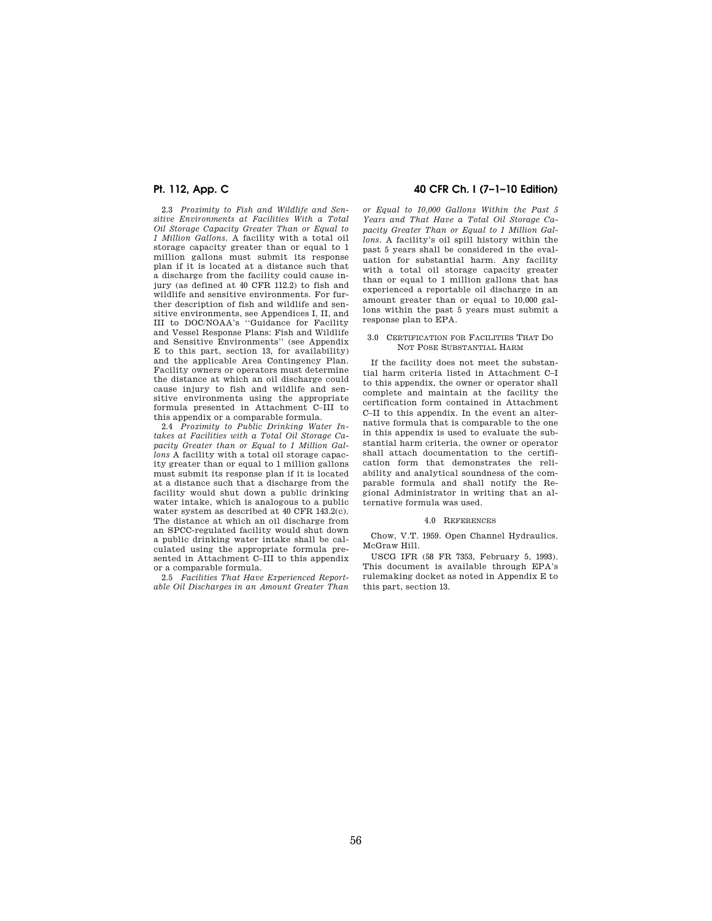2.3 *Proximity to Fish and Wildlife and Sensitive Environments at Facilities With a Total Oil Storage Capacity Greater Than or Equal to 1 Million Gallons.* A facility with a total oil storage capacity greater than or equal to 1 million gallons must submit its response plan if it is located at a distance such that a discharge from the facility could cause injury (as defined at 40 CFR 112.2) to fish and wildlife and sensitive environments. For further description of fish and wildlife and sensitive environments, see Appendices I, II, and III to DOC/NOAA's ''Guidance for Facility and Vessel Response Plans: Fish and Wildlife and Sensitive Environments'' (see Appendix E to this part, section 13, for availability) and the applicable Area Contingency Plan. Facility owners or operators must determine the distance at which an oil discharge could cause injury to fish and wildlife and sensitive environments using the appropriate formula presented in Attachment C–III to this appendix or a comparable formula.

2.4 *Proximity to Public Drinking Water Intakes at Facilities with a Total Oil Storage Capacity Greater than or Equal to 1 Million Gallons* A facility with a total oil storage capacity greater than or equal to 1 million gallons must submit its response plan if it is located at a distance such that a discharge from the facility would shut down a public drinking water intake, which is analogous to a public water system as described at 40 CFR 143.2(c). The distance at which an oil discharge from an SPCC-regulated facility would shut down a public drinking water intake shall be calculated using the appropriate formula presented in Attachment C–III to this appendix or a comparable formula.

2.5 *Facilities That Have Experienced Reportable Oil Discharges in an Amount Greater Than* 

# **Pt. 112, App. C 40 CFR Ch. I (7–1–10 Edition)**

*or Equal to 10,000 Gallons Within the Past 5 Years and That Have a Total Oil Storage Capacity Greater Than or Equal to 1 Million Gallons.* A facility's oil spill history within the past 5 years shall be considered in the evaluation for substantial harm. Any facility with a total oil storage capacity greater than or equal to 1 million gallons that has experienced a reportable oil discharge in an amount greater than or equal to 10,000 gallons within the past 5 years must submit a response plan to EPA.

### 3.0 CERTIFICATION FOR FACILITIES THAT DO NOT POSE SUBSTANTIAL HARM

If the facility does not meet the substantial harm criteria listed in Attachment C–I to this appendix, the owner or operator shall complete and maintain at the facility the certification form contained in Attachment C–II to this appendix. In the event an alternative formula that is comparable to the one in this appendix is used to evaluate the substantial harm criteria, the owner or operator shall attach documentation to the certification form that demonstrates the reliability and analytical soundness of the comparable formula and shall notify the Regional Administrator in writing that an alternative formula was used.

#### 4.0 REFERENCES

Chow, V.T. 1959. Open Channel Hydraulics. McGraw Hill.

USCG IFR (58 FR 7353, February 5, 1993). This document is available through EPA's rulemaking docket as noted in Appendix E to this part, section 13.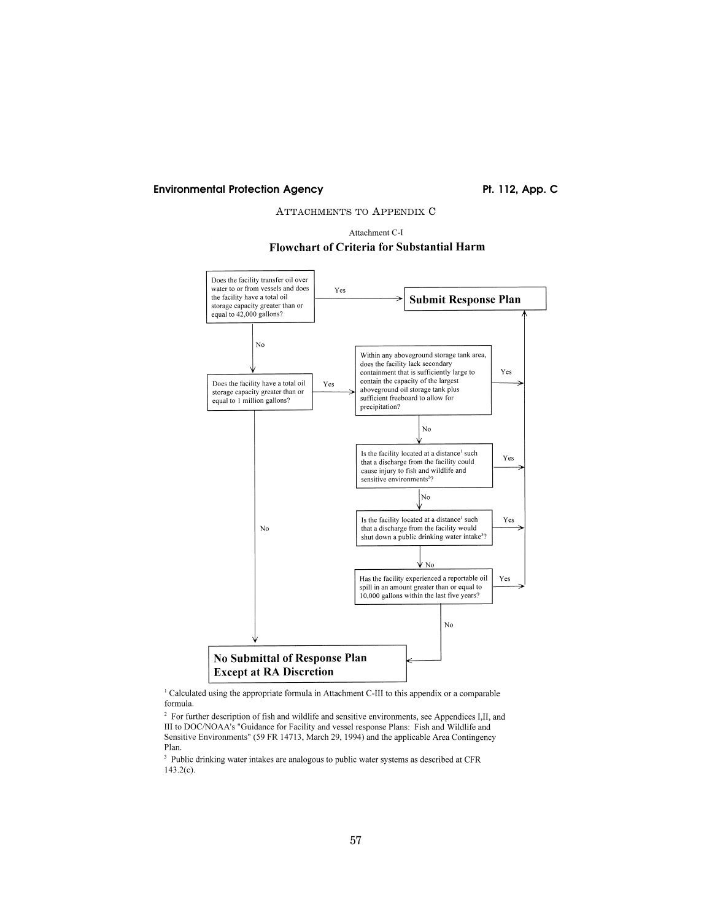# Environmental Protection Agency **Pt. 112, App. C**

# ATTACHMENTS TO APPENDIX C





<sup>1</sup> Calculated using the appropriate formula in Attachment C-III to this appendix or a comparable formula.

 $2$  For further description of fish and wildlife and sensitive environments, see Appendices I,II, and III to DOC/NOAA's "Guidance for Facility and vessel response Plans: Fish and Wildlife and Sensitive Environments" (59 FR 14713, March 29, 1994) and the applicable Area Contingency Plan.

<sup>3</sup> Public drinking water intakes are analogous to public water systems as described at CFR  $143.2(c)$ .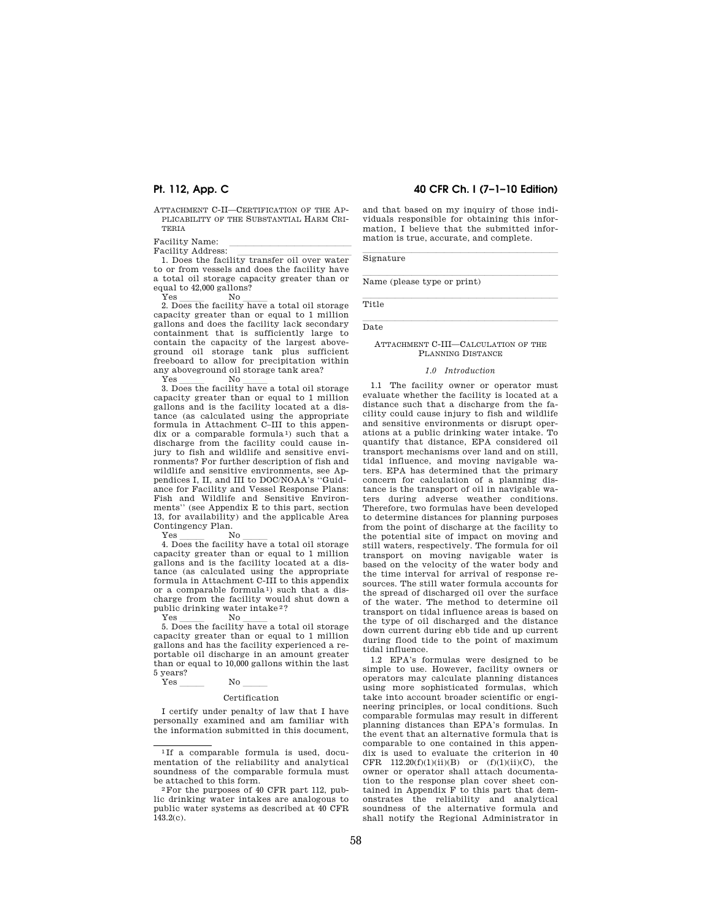ATTACHMENT C-II—CERTIFICATION OF THE AP-PLICABILITY OF THE SUBSTANTIAL HARM CRI-TERIA

Facility Name:<br>Facility Address:

Facility Address: llllllllllllll 1. Does the facility transfer oil over water to or from vessels and does the facility have a total oil storage capacity greater than or equal to 42,000 gallons?

Yes lll No lll 2. Does the facility have a total oil storage capacity greater than or equal to 1 million gallons and does the facility lack secondary containment that is sufficiently large to contain the capacity of the largest aboveground oil storage tank plus sufficient freeboard to allow for precipitation within any aboveground oil storage tank area?

Yes lll No lll 3. Does the facility have a total oil storage capacity greater than or equal to 1 million gallons and is the facility located at a distance (as calculated using the appropriate formula in Attachment C–III to this appendix or a comparable formula 1) such that a discharge from the facility could cause injury to fish and wildlife and sensitive environments? For further description of fish and wildlife and sensitive environments, see Appendices I, II, and III to DOC/NOAA's ''Guidance for Facility and Vessel Response Plans: Fish and Wildlife and Sensitive Environments'' (see Appendix E to this part, section 13, for availability) and the applicable Area Contingency Plan.<br>Yes No

Yes lll No lll 4. Does the facility have a total oil storage capacity greater than or equal to 1 million gallons and is the facility located at a distance (as calculated using the appropriate formula in Attachment C-III to this appendix or a comparable formula 1) such that a discharge from the facility would shut down a public drinking water intake<sup>2</sup>?<br>Yes No

Yes lll No lll 5. Does the facility have a total oil storage capacity greater than or equal to 1 million gallons and has the facility experienced a reportable oil discharge in an amount greater than or equal to 10,000 gallons within the last 5 years?

# $Yes$  No  $\_\_\_\_\_\$

#### Certification

I certify under penalty of law that I have personally examined and am familiar with the information submitted in this document,

# **Pt. 112, App. C 40 CFR Ch. I (7–1–10 Edition)**

and that based on my inquiry of those individuals responsible for obtaining this information, I believe that the submitted information is true, accurate, and complete.

Signature **Signature** 

Name (please type or print)

Title  $\overline{\text{Data}}$ Date

### ATTACHMENT C-III—CALCULATION OF THE PLANNING DISTANCE

 $m_{\text{H}_\text{L}}$ 

#### *1.0 Introduction*

1.1 The facility owner or operator must evaluate whether the facility is located at a distance such that a discharge from the facility could cause injury to fish and wildlife and sensitive environments or disrupt operations at a public drinking water intake. To quantify that distance, EPA considered oil transport mechanisms over land and on still, tidal influence, and moving navigable waters. EPA has determined that the primary concern for calculation of a planning distance is the transport of oil in navigable waters during adverse weather conditions. Therefore, two formulas have been developed to determine distances for planning purposes from the point of discharge at the facility to the potential site of impact on moving and still waters, respectively. The formula for oil transport on moving navigable water is based on the velocity of the water body and the time interval for arrival of response resources. The still water formula accounts for the spread of discharged oil over the surface of the water. The method to determine oil transport on tidal influence areas is based on the type of oil discharged and the distance down current during ebb tide and up current during flood tide to the point of maximum tidal influence.

1.2 EPA's formulas were designed to be simple to use. However, facility owners or operators may calculate planning distances using more sophisticated formulas, which take into account broader scientific or engineering principles, or local conditions. Such comparable formulas may result in different planning distances than EPA's formulas. In the event that an alternative formula that is comparable to one contained in this appendix is used to evaluate the criterion in 40 CFR  $112.20(f)(1)(ii)(B)$  or  $(f)(1)(ii)(C)$ , the owner or operator shall attach documentation to the response plan cover sheet contained in Appendix F to this part that demonstrates the reliability and analytical soundness of the alternative formula and shall notify the Regional Administrator in

<sup>&</sup>lt;sup>1</sup>If a comparable formula is used, documentation of the reliability and analytical soundness of the comparable formula must be attached to this form.<br><sup>2</sup>For the purposes of 40 CFR part 112, pub-

lic drinking water intakes are analogous to public water systems as described at 40 CFR  $143.2(c)$ .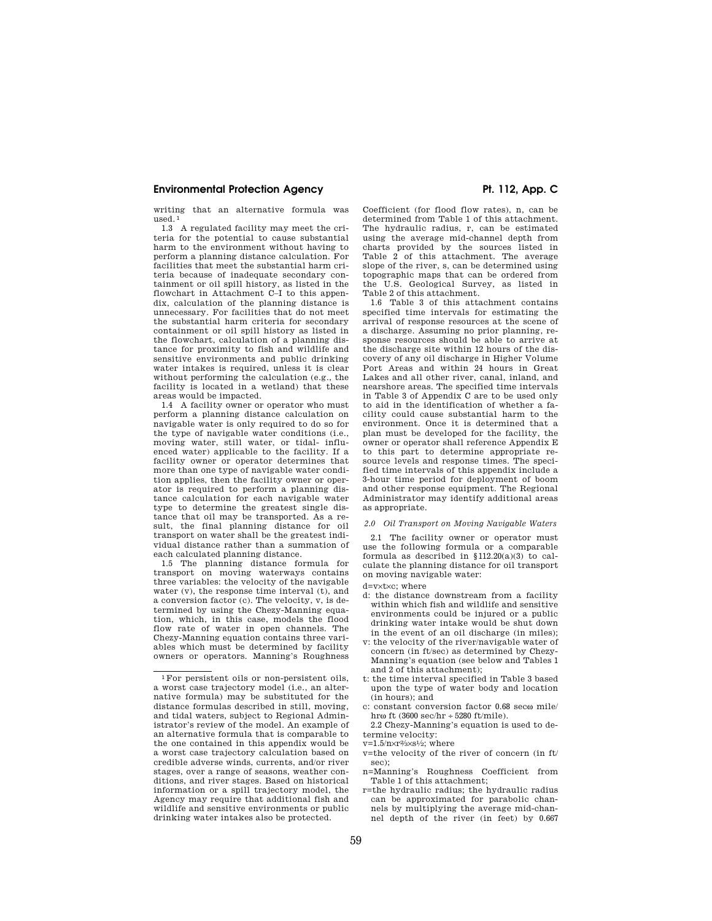# **Environmental Protection Agency**  Pt. 112, App. C

writing that an alternative formula was used. 1

1.3 A regulated facility may meet the criteria for the potential to cause substantial harm to the environment without having to perform a planning distance calculation. For facilities that meet the substantial harm criteria because of inadequate secondary containment or oil spill history, as listed in the flowchart in Attachment C–I to this appendix, calculation of the planning distance is unnecessary. For facilities that do not meet the substantial harm criteria for secondary containment or oil spill history as listed in the flowchart, calculation of a planning distance for proximity to fish and wildlife and sensitive environments and public drinking water intakes is required, unless it is clear without performing the calculation (e.g., the facility is located in a wetland) that these areas would be impacted.

1.4 A facility owner or operator who must perform a planning distance calculation on navigable water is only required to do so for the type of navigable water conditions (i.e., moving water, still water, or tidal- influenced water) applicable to the facility. If a facility owner or operator determines that more than one type of navigable water condition applies, then the facility owner or operator is required to perform a planning distance calculation for each navigable water type to determine the greatest single distance that oil may be transported. As a result, the final planning distance for oil transport on water shall be the greatest individual distance rather than a summation of each calculated planning distance.

1.5 The planning distance formula for transport on moving waterways contains three variables: the velocity of the navigable water (v), the response time interval (t), and a conversion factor (c). The velocity, v, is determined by using the Chezy-Manning equation, which, in this case, models the flood flow rate of water in open channels. The Chezy-Manning equation contains three variables which must be determined by facility owners or operators. Manning's Roughness

Coefficient (for flood flow rates), n, can be determined from Table 1 of this attachment. The hydraulic radius, r, can be estimated using the average mid-channel depth from charts provided by the sources listed in Table 2 of this attachment. The average slope of the river, s, can be determined using topographic maps that can be ordered from the U.S. Geological Survey, as listed in Table 2 of this attachment.

1.6 Table 3 of this attachment contains specified time intervals for estimating the arrival of response resources at the scene of a discharge. Assuming no prior planning, response resources should be able to arrive at the discharge site within 12 hours of the discovery of any oil discharge in Higher Volume Port Areas and within 24 hours in Great Lakes and all other river, canal, inland, and nearshore areas. The specified time intervals in Table 3 of Appendix C are to be used only to aid in the identification of whether a facility could cause substantial harm to the environment. Once it is determined that a plan must be developed for the facility, the owner or operator shall reference Appendix E to this part to determine appropriate resource levels and response times. The specified time intervals of this appendix include a 3-hour time period for deployment of boom and other response equipment. The Regional Administrator may identify additional areas as appropriate.

### *2.0 Oil Transport on Moving Navigable Waters*

2.1 The facility owner or operator must use the following formula or a comparable formula as described in  $$112.20(a)(3)$  to calculate the planning distance for oil transport on moving navigable water:

d=v×t×c; where

- d: the distance downstream from a facility within which fish and wildlife and sensitive environments could be injured or a public drinking water intake would be shut down in the event of an oil discharge (in miles);
- v: the velocity of the river/navigable water of concern (in ft/sec) as determined by Chezy-Manning's equation (see below and Tables 1 and 2 of this attachment);
- t: the time interval specified in Table 3 based upon the type of water body and location (in hours); and
- c: constant conversion factor 0.68 secw mile/ hro ft (3600 sec/hr  $\div$  5280 ft/mile).

2.2 Chezy-Manning's equation is used to determine velocity:

v=1.5/n×r2⁄3×s1⁄2; where

- v=the velocity of the river of concern (in ft/ sec);
- n=Manning's Roughness Coefficient from Table 1 of this attachment;
- r=the hydraulic radius; the hydraulic radius can be approximated for parabolic channels by multiplying the average mid-channel depth of the river (in feet) by 0.667

<sup>1</sup>For persistent oils or non-persistent oils, a worst case trajectory model (i.e., an alternative formula) may be substituted for the distance formulas described in still, moving, and tidal waters, subject to Regional Administrator's review of the model. An example of an alternative formula that is comparable to the one contained in this appendix would be a worst case trajectory calculation based on credible adverse winds, currents, and/or river stages, over a range of seasons, weather conditions, and river stages. Based on historical information or a spill trajectory model, the Agency may require that additional fish and wildlife and sensitive environments or public drinking water intakes also be protected.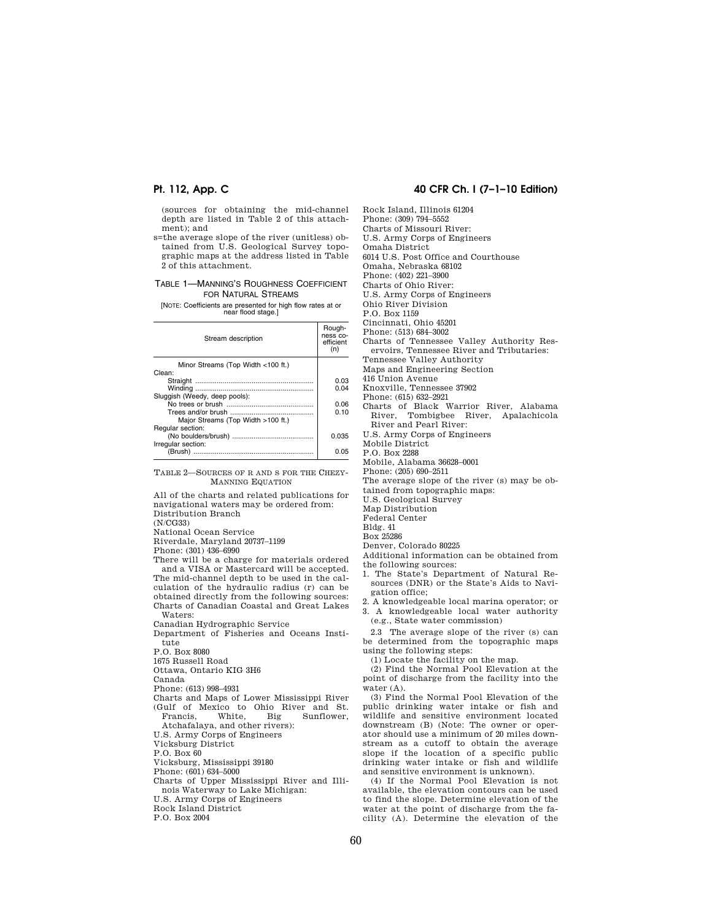(sources for obtaining the mid-channel depth are listed in Table 2 of this attachment); and

s=the average slope of the river (unitless) obtained from U.S. Geological Survey topographic maps at the address listed in Table 2 of this attachment.

### TABLE 1—MANNING'S ROUGHNESS COEFFICIENT FOR NATURAL STREAMS

[NOTE: Coefficients are presented for high flow rates at or near flood stage.]

| Stream description                 | Rough-<br>ness co-<br>efficient<br>(n) |
|------------------------------------|----------------------------------------|
| Minor Streams (Top Width <100 ft.) |                                        |
| Clean:                             |                                        |
|                                    | 0.03                                   |
|                                    | 0.04                                   |
| Sluggish (Weedy, deep pools):      |                                        |
|                                    | 0.06                                   |
|                                    | 0.10                                   |
| Major Streams (Top Width >100 ft.) |                                        |
| Regular section:                   |                                        |
|                                    | 0.035                                  |
| Irregular section:                 |                                        |
| (Brush)                            | 0.05                                   |
|                                    |                                        |

TABLE 2—SOURCES OF R AND S FOR THE CHEZY-MANNING EQUATION

All of the charts and related publications for navigational waters may be ordered from: Distribution Branch

(N/CG33)

National Ocean Service

Riverdale, Maryland 20737–1199

Phone: (301) 436–6990

There will be a charge for materials ordered and a VISA or Mastercard will be accepted. The mid-channel depth to be used in the calculation of the hydraulic radius (r) can be obtained directly from the following sources: Charts of Canadian Coastal and Great Lakes

Waters: Canadian Hydrographic Service

Department of Fisheries and Oceans Institute

P.O. Box 8080 1675 Russell Road

Ottawa, Ontario KIG 3H6

Canada

Phone: (613) 998–4931

Charts and Maps of Lower Mississippi River (Gulf of Mexico to Ohio River and St.<br>Francis. White. Big Sunflower. Francis, White, Big Sunflower,

Atchafalaya, and other rivers):

U.S. Army Corps of Engineers

Vicksburg District

P.O. Box 60

Vicksburg, Mississippi 39180 Phone: (601) 634–5000

Charts of Upper Mississippi River and Illinois Waterway to Lake Michigan:

U.S. Army Corps of Engineers

Rock Island District

P.O. Box 2004

# **Pt. 112, App. C 40 CFR Ch. I (7–1–10 Edition)**

Rock Island, Illinois 61204

Phone: (309) 794–5552

Charts of Missouri River:

U.S. Army Corps of Engineers Omaha District

6014 U.S. Post Office and Courthouse Omaha, Nebraska 68102

Phone: (402) 221–3900 Charts of Ohio River:

U.S. Army Corps of Engineers

Ohio River Division

P.O. Box 1159

Cincinnati, Ohio 45201

Phone: (513) 684–3002

Charts of Tennessee Valley Authority Res-

ervoirs, Tennessee River and Tributaries: Tennessee Valley Authority

Maps and Engineering Section

416 Union Avenue

Knoxville, Tennessee 37902

Phone: (615) 632–2921

Charts of Black Warrior River, Alabama River, Tombigbee River, Apalachicola River and Pearl River:

U.S. Army Corps of Engineers

Mobile District

P.O. Box 2288

Mobile, Alabama 36628–0001

Phone: (205) 690–2511

The average slope of the river (s) may be ob-

tained from topographic maps:

U.S. Geological Survey

Map Distribution

Federal Center

Bldg. 41

Box 25286 Denver, Colorado 80225

Additional information can be obtained from the following sources:

1. The State's Department of Natural Resources (DNR) or the State's Aids to Navigation office;

2. A knowledgeable local marina operator; or 3. A knowledgeable local water authority

(e.g., State water commission)

2.3 The average slope of the river (s) can be determined from the topographic maps using the following steps:

(1) Locate the facility on the map.

(2) Find the Normal Pool Elevation at the point of discharge from the facility into the water (A).

(3) Find the Normal Pool Elevation of the public drinking water intake or fish and wildlife and sensitive environment located downstream (B) (Note: The owner or operator should use a minimum of 20 miles downstream as a cutoff to obtain the average slope if the location of a specific public drinking water intake or fish and wildlife and sensitive environment is unknown).

(4) If the Normal Pool Elevation is not available, the elevation contours can be used to find the slope. Determine elevation of the water at the point of discharge from the facility (A). Determine the elevation of the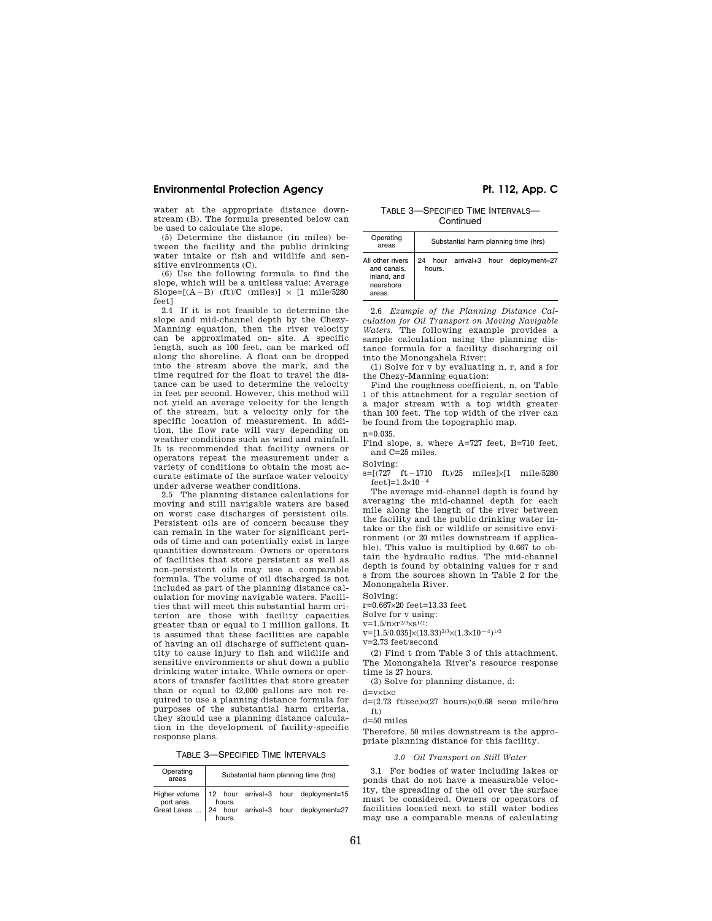# **Environmental Protection Agency Pt. 112, App. C**

water at the appropriate distance downstream (B). The formula presented below can be used to calculate the slope.

(5) Determine the distance (in miles) between the facility and the public drinking water intake or fish and wildlife and sensitive environments (C).

(6) Use the following formula to find the slope, which will be a unitless value: Average Slope= $[(A - B) (ft)/C (miles)] \times [1 mile/5280]$ feet]

2.4 If it is not feasible to determine the slope and mid-channel depth by the Chezy-Manning equation, then the river velocity can be approximated on- site. A specific length, such as 100 feet, can be marked off along the shoreline. A float can be dropped into the stream above the mark, and the time required for the float to travel the distance can be used to determine the velocity in feet per second. However, this method will not yield an average velocity for the length of the stream, but a velocity only for the specific location of measurement. In addition, the flow rate will vary depending on weather conditions such as wind and rainfall. It is recommended that facility owners or operators repeat the measurement under a variety of conditions to obtain the most accurate estimate of the surface water velocity under adverse weather conditions.

2.5 The planning distance calculations for moving and still navigable waters are based on worst case discharges of persistent oils. Persistent oils are of concern because they can remain in the water for significant periods of time and can potentially exist in large quantities downstream. Owners or operators of facilities that store persistent as well as non-persistent oils may use a comparable formula. The volume of oil discharged is not included as part of the planning distance calculation for moving navigable waters. Facilities that will meet this substantial harm criterion are those with facility capacities greater than or equal to 1 million gallons. It is assumed that these facilities are capable of having an oil discharge of sufficient quantity to cause injury to fish and wildlife and sensitive environments or shut down a public drinking water intake. While owners or operators of transfer facilities that store greater than or equal to 42,000 gallons are not required to use a planning distance formula for purposes of the substantial harm criteria, they should use a planning distance calculation in the development of facility-specific response plans.

TABLE 3—SPECIFIED TIME INTERVALS

| Operating<br>areas | Substantial harm planning time (hrs) |        |  |  |                                                                        |
|--------------------|--------------------------------------|--------|--|--|------------------------------------------------------------------------|
|                    |                                      |        |  |  | Higher volume $\vert$ 12 hour arrival+3 hour deployment=15             |
|                    |                                      | hours. |  |  | port area. hours.<br>Great Lakes  24 hour arrival+3 hour deployment=27 |

TABLE 3—SPECIFIED TIME INTERVALS— **Continued** 

| Operating<br>areas                                                    | Substantial harm planning time (hrs) |        |                     |  |               |
|-----------------------------------------------------------------------|--------------------------------------|--------|---------------------|--|---------------|
| All other rivers<br>and canals,<br>inland, and<br>nearshore<br>areas. | 24                                   | hours. | hour arrival+3 hour |  | deployment=27 |

2.6 *Example of the Planning Distance Calculation for Oil Transport on Moving Navigable Waters.* The following example provides a sample calculation using the planning distance formula for a facility discharging oil into the Monongahela River:

(1) Solve for v by evaluating n, r, and s for the Chezy-Manning equation:

Find the roughness coefficient, n, on Table 1 of this attachment for a regular section of a major stream with a top width greater than 100 feet. The top width of the river can be found from the topographic map.

n=0.035.

Find slope, s, where A=727 feet, B=710 feet, and  $C=25$  miles.

Solving:

 $s=[(727 \text{ ft}-1710 \text{ ft})/25 \text{ miles}]\times[1 \text{ mile}/5280$  $feet]=1.3\times10^{-4}$ 

The average mid-channel depth is found by averaging the mid-channel depth for each mile along the length of the river between the facility and the public drinking water intake or the fish or wildlife or sensitive environment (or 20 miles downstream if applicable). This value is multiplied by 0.667 to obtain the hydraulic radius. The mid-channel depth is found by obtaining values for r and s from the sources shown in Table 2 for the Monongahela River.

Solving:

r=0.667×20 feet=13.33 feet

Solve for v using:

 $v=1.5/n\times r^{2/3}\times s^{1/2}$ :

 $v=[1.5/0.035]\times(13.33)^{2/3}\times(1.3\times10^{-4})^{1/2}$ 

v=2.73 feet/second

(2) Find t from Table 3 of this attachment. The Monongahela River's resource response time is 27 hours.

(3) Solve for planning distance, d:

d=v×t×c

d=(2.73 ft/sec) $\times$ (27 hours) $\times$ (0.68 sec $\omega$  mile/hr $\omega$ ft)

d=50 miles

Therefore, 50 miles downstream is the appropriate planning distance for this facility.

#### *3.0 Oil Transport on Still Water*

3.1 For bodies of water including lakes or ponds that do not have a measurable velocity, the spreading of the oil over the surface must be considered. Owners or operators of facilities located next to still water bodies may use a comparable means of calculating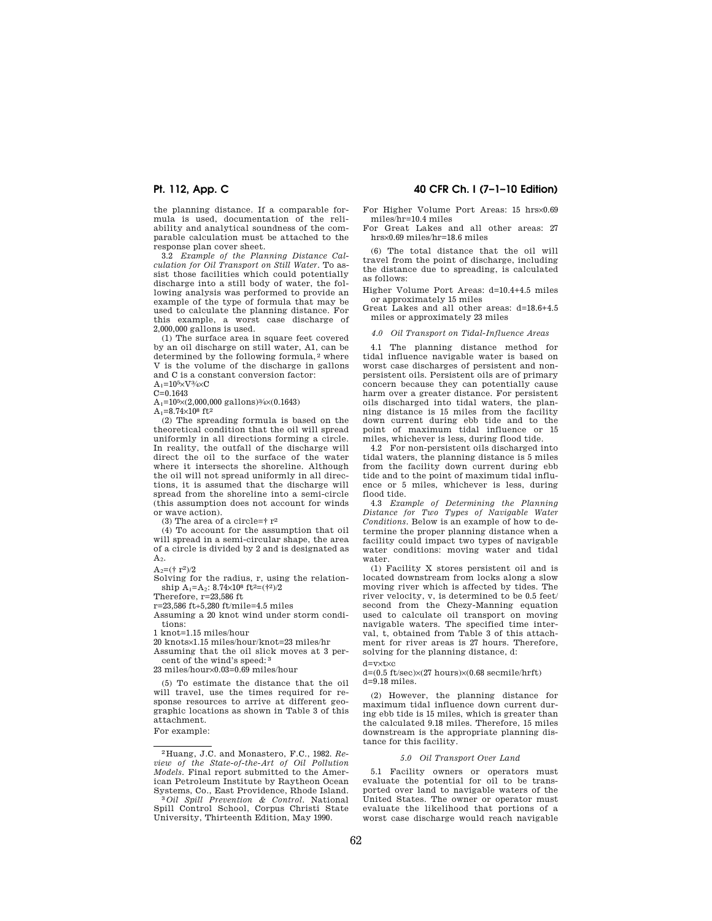the planning distance. If a comparable formula is used, documentation of the reliability and analytical soundness of the comparable calculation must be attached to the response plan cover sheet.

3.2 *Example of the Planning Distance Calculation for Oil Transport on Still Water.* To assist those facilities which could potentially discharge into a still body of water, the following analysis was performed to provide an example of the type of formula that may be used to calculate the planning distance. For this example, a worst case discharge of 2,000,000 gallons is used.

(1) The surface area in square feet covered by an oil discharge on still water, A1, can be determined by the following formula, 2 where V is the volume of the discharge in gallons and C is a constant conversion factor:

 $A_1$ =10<sup>5</sup>×V<sup>3</sup>/<sub>4</sub>×C

 $C=0.1643$ 

 $A_1=10^5\times(2,000,000 \text{ gallons})\frac{3}{4}\times(0.1643)$  $A_1 = 8.74 \times 10^8$  ft<sup>2</sup>

(2) The spreading formula is based on the theoretical condition that the oil will spread uniformly in all directions forming a circle. In reality, the outfall of the discharge will direct the oil to the surface of the water where it intersects the shoreline. Although the oil will not spread uniformly in all directions, it is assumed that the discharge will spread from the shoreline into a semi-circle (this assumption does not account for winds or wave action).

(3) The area of a circle= $\dagger$  r<sup>2</sup>

(4) To account for the assumption that oil will spread in a semi-circular shape, the area of a circle is divided by 2 and is designated as  $A<sub>2</sub>$ .

 $A_2 = (t r^2)/2$ 

Solving for the radius, r, using the relationship  $\rm A_1\rm = A_2$  :  $\rm 8.74\rm \times 10^{8}$  ft^2=(†^2)/2

Therefore, r=23,586 ft

r=23,586 ft÷5,280 ft/mile=4.5 miles

Assuming a 20 knot wind under storm conditions:

1 knot=1.15 miles/hour

20 knots×1.15 miles/hour/knot=23 miles/hr

Assuming that the oil slick moves at 3 percent of the wind's speed: 3

23 miles/hour×0.03=0.69 miles/hour

(5) To estimate the distance that the oil will travel, use the times required for response resources to arrive at different geographic locations as shown in Table 3 of this attachment.

For example:

# **Pt. 112, App. C 40 CFR Ch. I (7–1–10 Edition)**

For Higher Volume Port Areas: 15 hrs×0.69 miles/hr=10.4 miles

For Great Lakes and all other areas: 27 hrs×0.69 miles/hr=18.6 miles

(6) The total distance that the oil will travel from the point of discharge, including the distance due to spreading, is calculated as follows:

Higher Volume Port Areas: d=10.4+4.5 miles or approximately 15 miles

Great Lakes and all other areas: d=18.6+4.5 miles or approximately 23 miles

### *4.0 Oil Transport on Tidal-Influence Areas*

4.1 The planning distance method for tidal influence navigable water is based on worst case discharges of persistent and nonpersistent oils. Persistent oils are of primary concern because they can potentially cause harm over a greater distance. For persistent oils discharged into tidal waters, the planning distance is 15 miles from the facility down current during ebb tide and to the point of maximum tidal influence or 15 miles, whichever is less, during flood tide.

4.2 For non-persistent oils discharged into tidal waters, the planning distance is 5 miles from the facility down current during ebb tide and to the point of maximum tidal influence or 5 miles, whichever is less, during flood tide.

4.3 *Example of Determining the Planning Distance for Two Types of Navigable Water Conditions.* Below is an example of how to determine the proper planning distance when a facility could impact two types of navigable water conditions: moving water and tidal water.

(1) Facility X stores persistent oil and is located downstream from locks along a slow moving river which is affected by tides. The river velocity, v, is determined to be 0.5 feet/ second from the Chezy-Manning equation used to calculate oil transport on moving navigable waters. The specified time interval, t, obtained from Table 3 of this attachment for river areas is 27 hours. Therefore, solving for the planning distance, d:

d=v×t×c

 $d=(0.5 \text{ ft/sec})\times(27 \text{ hours})\times(0.68 \text{secmile/hrft})$ d=9.18 miles.

(2) However, the planning distance for maximum tidal influence down current during ebb tide is 15 miles, which is greater than the calculated 9.18 miles. Therefore, 15 miles downstream is the appropriate planning distance for this facility.

#### *5.0 Oil Transport Over Land*

5.1 Facility owners or operators must evaluate the potential for oil to be transported over land to navigable waters of the United States. The owner or operator must evaluate the likelihood that portions of a worst case discharge would reach navigable

<sup>2</sup> Huang, J.C. and Monastero, F.C., 1982. *Review of the State-of-the-Art of Oil Pollution Models*. Final report submitted to the American Petroleum Institute by Raytheon Ocean

<sup>&</sup>lt;sup>3</sup> Oil Spill Prevention & Control. National Spill Control School, Corpus Christi State University, Thirteenth Edition, May 1990.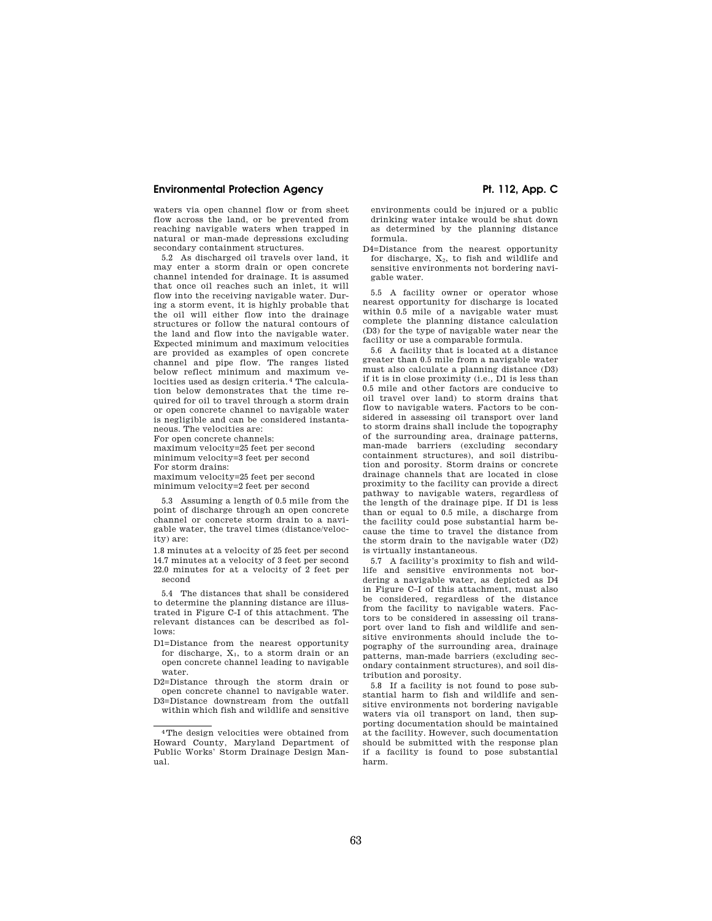# **Environmental Protection Agency**  Pt. 112, App. C

waters via open channel flow or from sheet flow across the land, or be prevented from reaching navigable waters when trapped in natural or man-made depressions excluding secondary containment structures.

5.2 As discharged oil travels over land, it may enter a storm drain or open concrete channel intended for drainage. It is assumed that once oil reaches such an inlet, it will flow into the receiving navigable water. During a storm event, it is highly probable that the oil will either flow into the drainage structures or follow the natural contours of the land and flow into the navigable water. Expected minimum and maximum velocities are provided as examples of open concrete channel and pipe flow. The ranges listed below reflect minimum and maximum velocities used as design criteria. 4 The calculation below demonstrates that the time required for oil to travel through a storm drain or open concrete channel to navigable water is negligible and can be considered instantaneous. The velocities are:

For open concrete channels:

maximum velocity=25 feet per second minimum velocity=3 feet per second For storm drains:

maximum velocity=25 feet per second minimum velocity=2 feet per second

5.3 Assuming a length of 0.5 mile from the point of discharge through an open concrete channel or concrete storm drain to a navigable water, the travel times (distance/velocity) are:

1.8 minutes at a velocity of 25 feet per second 14.7 minutes at a velocity of 3 feet per second 22.0 minutes for at a velocity of 2 feet per second

5.4 The distances that shall be considered to determine the planning distance are illustrated in Figure C-I of this attachment. The relevant distances can be described as follows:

D1=Distance from the nearest opportunity for discharge,  $X_1$ , to a storm drain or an open concrete channel leading to navigable water.

D2=Distance through the storm drain or open concrete channel to navigable water.

D3=Distance downstream from the outfall within which fish and wildlife and sensitive

environments could be injured or a public drinking water intake would be shut down as determined by the planning distance formula.

D4=Distance from the nearest opportunity for discharge,  $X_2$ , to fish and wildlife and sensitive environments not bordering navigable water.

5.5 A facility owner or operator whose nearest opportunity for discharge is located within 0.5 mile of a navigable water must complete the planning distance calculation (D3) for the type of navigable water near the facility or use a comparable formula.

5.6 A facility that is located at a distance greater than 0.5 mile from a navigable water must also calculate a planning distance (D3) if it is in close proximity (i.e., D1 is less than 0.5 mile and other factors are conducive to oil travel over land) to storm drains that flow to navigable waters. Factors to be considered in assessing oil transport over land to storm drains shall include the topography of the surrounding area, drainage patterns, man-made barriers (excluding secondary containment structures), and soil distribution and porosity. Storm drains or concrete drainage channels that are located in close proximity to the facility can provide a direct pathway to navigable waters, regardless of the length of the drainage pipe. If D1 is less than or equal to 0.5 mile, a discharge from the facility could pose substantial harm because the time to travel the distance from the storm drain to the navigable water (D2) is virtually instantaneous.

5.7 A facility's proximity to fish and wildlife and sensitive environments not bordering a navigable water, as depicted as D4 in Figure C–I of this attachment, must also be considered, regardless of the distance from the facility to navigable waters. Factors to be considered in assessing oil transport over land to fish and wildlife and sensitive environments should include the topography of the surrounding area, drainage patterns, man-made barriers (excluding secondary containment structures), and soil distribution and porosity.

5.8 If a facility is not found to pose substantial harm to fish and wildlife and sensitive environments not bordering navigable waters via oil transport on land, then supporting documentation should be maintained at the facility. However, such documentation should be submitted with the response plan if a facility is found to pose substantial harm.

<sup>4</sup>The design velocities were obtained from Howard County, Maryland Department of Public Works' Storm Drainage Design Manual.